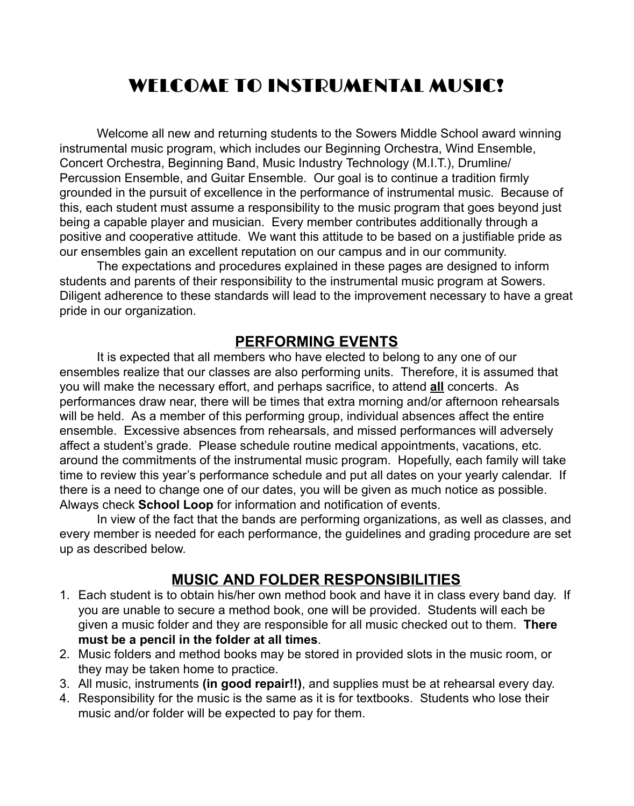# WELCOME TO INSTRUMENTAL MUSIC!

Welcome all new and returning students to the Sowers Middle School award winning instrumental music program, which includes our Beginning Orchestra, Wind Ensemble, Concert Orchestra, Beginning Band, Music Industry Technology (M.I.T.), Drumline/ Percussion Ensemble, and Guitar Ensemble. Our goal is to continue a tradition firmly grounded in the pursuit of excellence in the performance of instrumental music. Because of this, each student must assume a responsibility to the music program that goes beyond just being a capable player and musician. Every member contributes additionally through a positive and cooperative attitude. We want this attitude to be based on a justifiable pride as our ensembles gain an excellent reputation on our campus and in our community.

The expectations and procedures explained in these pages are designed to inform students and parents of their responsibility to the instrumental music program at Sowers. Diligent adherence to these standards will lead to the improvement necessary to have a great pride in our organization.

#### **PERFORMING EVENTS**

It is expected that all members who have elected to belong to any one of our ensembles realize that our classes are also performing units. Therefore, it is assumed that you will make the necessary effort, and perhaps sacrifice, to attend **all** concerts. As performances draw near, there will be times that extra morning and/or afternoon rehearsals will be held. As a member of this performing group, individual absences affect the entire ensemble. Excessive absences from rehearsals, and missed performances will adversely affect a student's grade. Please schedule routine medical appointments, vacations, etc. around the commitments of the instrumental music program. Hopefully, each family will take time to review this year's performance schedule and put all dates on your yearly calendar. If there is a need to change one of our dates, you will be given as much notice as possible. Always check **School Loop** for information and notification of events.

In view of the fact that the bands are performing organizations, as well as classes, and every member is needed for each performance, the guidelines and grading procedure are set up as described below.

### **MUSIC AND FOLDER RESPONSIBILITIES**

- 1. Each student is to obtain his/her own method book and have it in class every band day. If you are unable to secure a method book, one will be provided. Students will each be given a music folder and they are responsible for all music checked out to them. **There must be a pencil in the folder at all times**.
- 2. Music folders and method books may be stored in provided slots in the music room, or they may be taken home to practice.
- 3. All music, instruments **(in good repair!!)**, and supplies must be at rehearsal every day.
- 4. Responsibility for the music is the same as it is for textbooks. Students who lose their music and/or folder will be expected to pay for them.